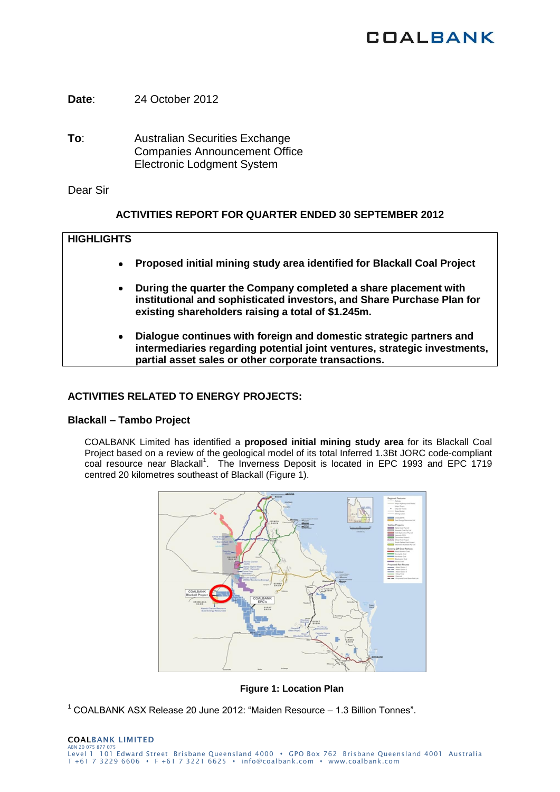# **COALBANK**

**Date**: 24 October 2012

**To**: Australian Securities Exchange Companies Announcement Office Electronic Lodgment System

Dear Sir

## **ACTIVITIES REPORT FOR QUARTER ENDED 30 SEPTEMBER 2012**

## **HIGHLIGHTS**

- **Proposed initial mining study area identified for Blackall Coal Project**
- **During the quarter the Company completed a share placement with institutional and sophisticated investors, and Share Purchase Plan for existing shareholders raising a total of \$1.245m.**
- **Dialogue continues with foreign and domestic strategic partners and intermediaries regarding potential joint ventures, strategic investments, partial asset sales or other corporate transactions.**

# **ACTIVITIES RELATED TO ENERGY PROJECTS:**

## **Blackall – Tambo Project**

COALBANK Limited has identified a **proposed initial mining study area** for its Blackall Coal Project based on a review of the geological model of its total Inferred 1.3Bt JORC code-compliant coal resource near Blackall<sup>1</sup>. The Inverness Deposit is located in EPC 1993 and EPC 1719 centred 20 kilometres southeast of Blackall (Figure 1).



## **Figure 1: Location Plan**

 $1$  COALBANK ASX Release 20 June 2012: "Maiden Resource  $-1.3$  Billion Tonnes".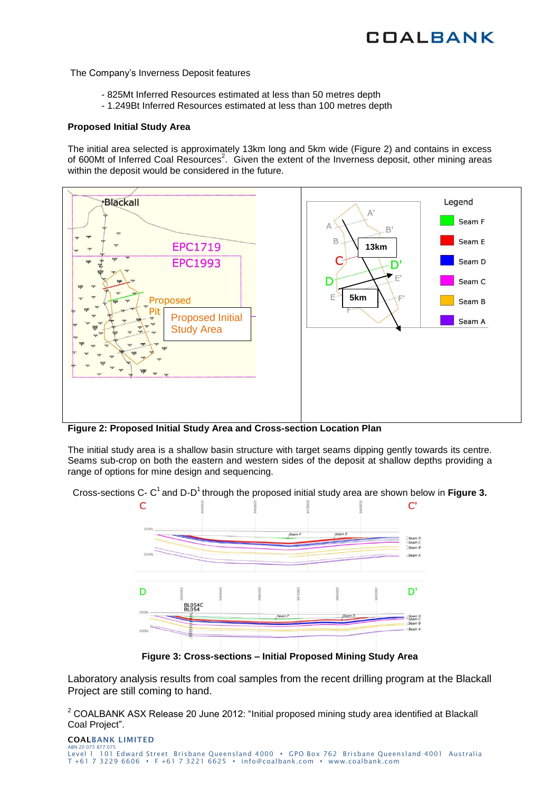# **COALBANK**

The Company's Inverness Deposit features

- 825Mt Inferred Resources estimated at less than 50 metres depth
- 1.249Bt Inferred Resources estimated at less than 100 metres depth

#### **Proposed Initial Study Area**

The initial area selected is approximately 13km long and 5km wide (Figure 2) and contains in excess of 600Mt of Inferred Coal Resources<sup>2</sup>. Given the extent of the Inverness deposit, other mining areas within the deposit would be considered in the future.



**Figure 2: Proposed Initial Study Area and Cross-section Location Plan**

The initial study area is a shallow basin structure with target seams dipping gently towards its centre. Seams sub-crop on both the eastern and western sides of the deposit at shallow depths providing a range of options for mine design and sequencing.

Cross-sections C- C<sup>1</sup> and D-D<sup>1</sup> through the proposed initial study area are shown below in Figure 3.



**Figure 3: Cross-sections – Initial Proposed Mining Study Area**

Laboratory analysis results from coal samples from the recent drilling program at the Blackall Project are still coming to hand.

 $2$  COALBANK ASX Release 20 June 2012: "Initial proposed mining study area identified at Blackall Coal Project".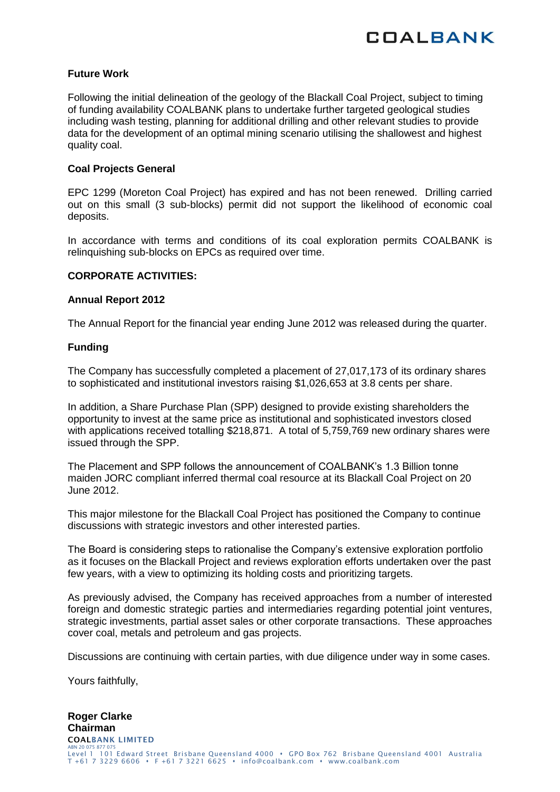

## **Future Work**

Following the initial delineation of the geology of the Blackall Coal Project, subject to timing of funding availability COALBANK plans to undertake further targeted geological studies including wash testing, planning for additional drilling and other relevant studies to provide data for the development of an optimal mining scenario utilising the shallowest and highest quality coal.

### **Coal Projects General**

EPC 1299 (Moreton Coal Project) has expired and has not been renewed. Drilling carried out on this small (3 sub-blocks) permit did not support the likelihood of economic coal deposits.

In accordance with terms and conditions of its coal exploration permits COALBANK is relinquishing sub-blocks on EPCs as required over time.

## **CORPORATE ACTIVITIES:**

### **Annual Report 2012**

The Annual Report for the financial year ending June 2012 was released during the quarter.

### **Funding**

The Company has successfully completed a placement of 27,017,173 of its ordinary shares to sophisticated and institutional investors raising \$1,026,653 at 3.8 cents per share.

In addition, a Share Purchase Plan (SPP) designed to provide existing shareholders the opportunity to invest at the same price as institutional and sophisticated investors closed with applications received totalling \$218,871. A total of 5,759,769 new ordinary shares were issued through the SPP.

The Placement and SPP follows the announcement of COALBANK's 1.3 Billion tonne maiden JORC compliant inferred thermal coal resource at its Blackall Coal Project on 20 June 2012.

This major milestone for the Blackall Coal Project has positioned the Company to continue discussions with strategic investors and other interested parties.

The Board is considering steps to rationalise the Company's extensive exploration portfolio as it focuses on the Blackall Project and reviews exploration efforts undertaken over the past few years, with a view to optimizing its holding costs and prioritizing targets.

As previously advised, the Company has received approaches from a number of interested foreign and domestic strategic parties and intermediaries regarding potential joint ventures, strategic investments, partial asset sales or other corporate transactions. These approaches cover coal, metals and petroleum and gas projects.

Discussions are continuing with certain parties, with due diligence under way in some cases.

Yours faithfully,